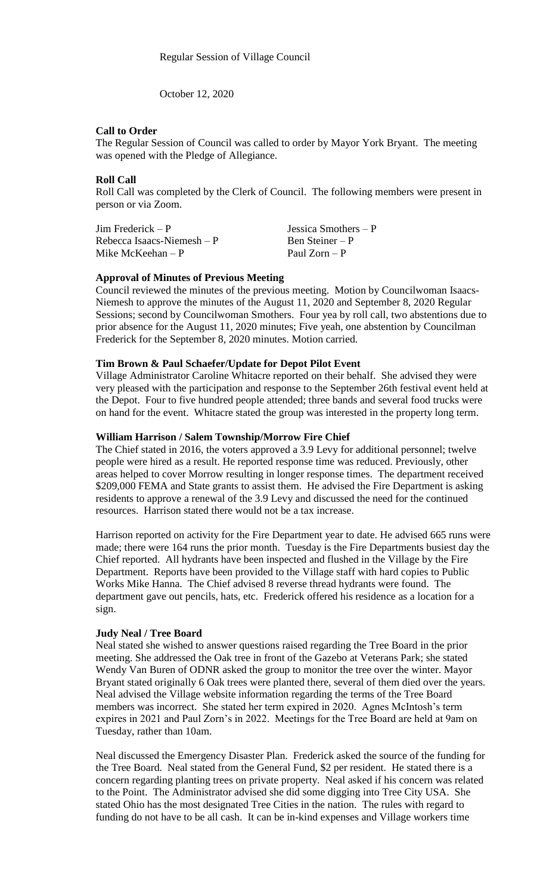October 12, 2020

#### **Call to Order**

The Regular Session of Council was called to order by Mayor York Bryant. The meeting was opened with the Pledge of Allegiance.

# **Roll Call**

Roll Call was completed by the Clerk of Council. The following members were present in person or via Zoom.

| $\text{Jim Frederick} - \text{P}$ | Jessica Smothers $-P$ |
|-----------------------------------|-----------------------|
| Rebecca Isaacs-Niemesh $-P$       | Ben Steiner – P       |
| Mike McKeehan $-P$                | Paul $Zorn - P$       |

#### **Approval of Minutes of Previous Meeting**

Council reviewed the minutes of the previous meeting. Motion by Councilwoman Isaacs-Niemesh to approve the minutes of the August 11, 2020 and September 8, 2020 Regular Sessions; second by Councilwoman Smothers. Four yea by roll call, two abstentions due to prior absence for the August 11, 2020 minutes; Five yeah, one abstention by Councilman Frederick for the September 8, 2020 minutes. Motion carried.

#### **Tim Brown & Paul Schaefer/Update for Depot Pilot Event**

Village Administrator Caroline Whitacre reported on their behalf. She advised they were very pleased with the participation and response to the September 26th festival event held at the Depot. Four to five hundred people attended; three bands and several food trucks were on hand for the event. Whitacre stated the group was interested in the property long term.

# **William Harrison / Salem Township/Morrow Fire Chief**

The Chief stated in 2016, the voters approved a 3.9 Levy for additional personnel; twelve people were hired as a result. He reported response time was reduced. Previously, other areas helped to cover Morrow resulting in longer response times. The department received \$209,000 FEMA and State grants to assist them. He advised the Fire Department is asking residents to approve a renewal of the 3.9 Levy and discussed the need for the continued resources. Harrison stated there would not be a tax increase.

Harrison reported on activity for the Fire Department year to date. He advised 665 runs were made; there were 164 runs the prior month. Tuesday is the Fire Departments busiest day the Chief reported. All hydrants have been inspected and flushed in the Village by the Fire Department. Reports have been provided to the Village staff with hard copies to Public Works Mike Hanna. The Chief advised 8 reverse thread hydrants were found. The department gave out pencils, hats, etc. Frederick offered his residence as a location for a sign.

#### **Judy Neal / Tree Board**

Neal stated she wished to answer questions raised regarding the Tree Board in the prior meeting. She addressed the Oak tree in front of the Gazebo at Veterans Park; she stated Wendy Van Buren of ODNR asked the group to monitor the tree over the winter. Mayor Bryant stated originally 6 Oak trees were planted there, several of them died over the years. Neal advised the Village website information regarding the terms of the Tree Board members was incorrect. She stated her term expired in 2020. Agnes McIntosh's term expires in 2021 and Paul Zorn's in 2022. Meetings for the Tree Board are held at 9am on Tuesday, rather than 10am.

Neal discussed the Emergency Disaster Plan. Frederick asked the source of the funding for the Tree Board. Neal stated from the General Fund, \$2 per resident. He stated there is a concern regarding planting trees on private property. Neal asked if his concern was related to the Point. The Administrator advised she did some digging into Tree City USA. She stated Ohio has the most designated Tree Cities in the nation. The rules with regard to funding do not have to be all cash. It can be in-kind expenses and Village workers time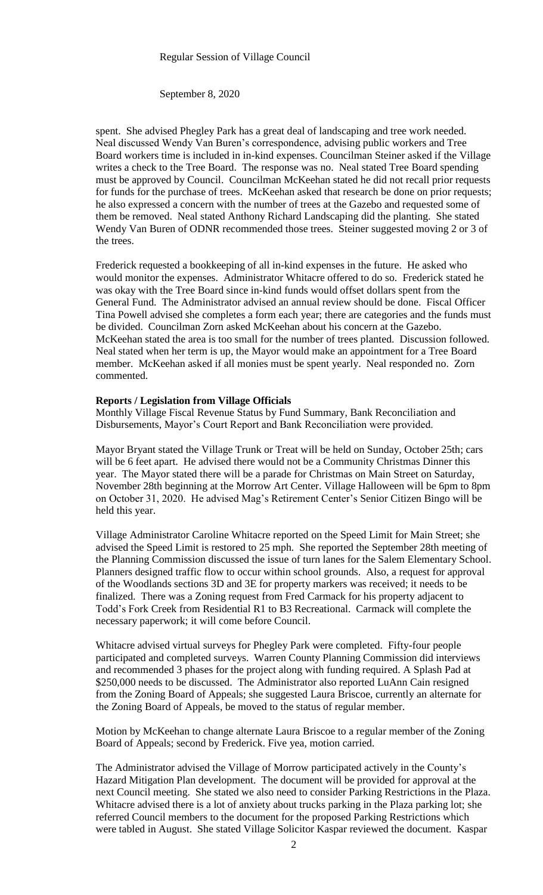September 8, 2020

spent. She advised Phegley Park has a great deal of landscaping and tree work needed. Neal discussed Wendy Van Buren's correspondence, advising public workers and Tree Board workers time is included in in-kind expenses. Councilman Steiner asked if the Village writes a check to the Tree Board. The response was no. Neal stated Tree Board spending must be approved by Council. Councilman McKeehan stated he did not recall prior requests for funds for the purchase of trees. McKeehan asked that research be done on prior requests; he also expressed a concern with the number of trees at the Gazebo and requested some of them be removed. Neal stated Anthony Richard Landscaping did the planting. She stated Wendy Van Buren of ODNR recommended those trees. Steiner suggested moving 2 or 3 of the trees.

Frederick requested a bookkeeping of all in-kind expenses in the future. He asked who would monitor the expenses. Administrator Whitacre offered to do so. Frederick stated he was okay with the Tree Board since in-kind funds would offset dollars spent from the General Fund. The Administrator advised an annual review should be done. Fiscal Officer Tina Powell advised she completes a form each year; there are categories and the funds must be divided. Councilman Zorn asked McKeehan about his concern at the Gazebo. McKeehan stated the area is too small for the number of trees planted. Discussion followed. Neal stated when her term is up, the Mayor would make an appointment for a Tree Board member. McKeehan asked if all monies must be spent yearly. Neal responded no. Zorn commented.

# **Reports / Legislation from Village Officials**

Monthly Village Fiscal Revenue Status by Fund Summary, Bank Reconciliation and Disbursements, Mayor's Court Report and Bank Reconciliation were provided.

Mayor Bryant stated the Village Trunk or Treat will be held on Sunday, October 25th; cars will be 6 feet apart. He advised there would not be a Community Christmas Dinner this year. The Mayor stated there will be a parade for Christmas on Main Street on Saturday, November 28th beginning at the Morrow Art Center. Village Halloween will be 6pm to 8pm on October 31, 2020. He advised Mag's Retirement Center's Senior Citizen Bingo will be held this year.

Village Administrator Caroline Whitacre reported on the Speed Limit for Main Street; she advised the Speed Limit is restored to 25 mph. She reported the September 28th meeting of the Planning Commission discussed the issue of turn lanes for the Salem Elementary School. Planners designed traffic flow to occur within school grounds. Also, a request for approval of the Woodlands sections 3D and 3E for property markers was received; it needs to be finalized. There was a Zoning request from Fred Carmack for his property adjacent to Todd's Fork Creek from Residential R1 to B3 Recreational. Carmack will complete the necessary paperwork; it will come before Council.

Whitacre advised virtual surveys for Phegley Park were completed. Fifty-four people participated and completed surveys. Warren County Planning Commission did interviews and recommended 3 phases for the project along with funding required. A Splash Pad at \$250,000 needs to be discussed. The Administrator also reported LuAnn Cain resigned from the Zoning Board of Appeals; she suggested Laura Briscoe, currently an alternate for the Zoning Board of Appeals, be moved to the status of regular member.

Motion by McKeehan to change alternate Laura Briscoe to a regular member of the Zoning Board of Appeals; second by Frederick. Five yea, motion carried.

The Administrator advised the Village of Morrow participated actively in the County's Hazard Mitigation Plan development. The document will be provided for approval at the next Council meeting. She stated we also need to consider Parking Restrictions in the Plaza. Whitacre advised there is a lot of anxiety about trucks parking in the Plaza parking lot; she referred Council members to the document for the proposed Parking Restrictions which were tabled in August. She stated Village Solicitor Kaspar reviewed the document. Kaspar